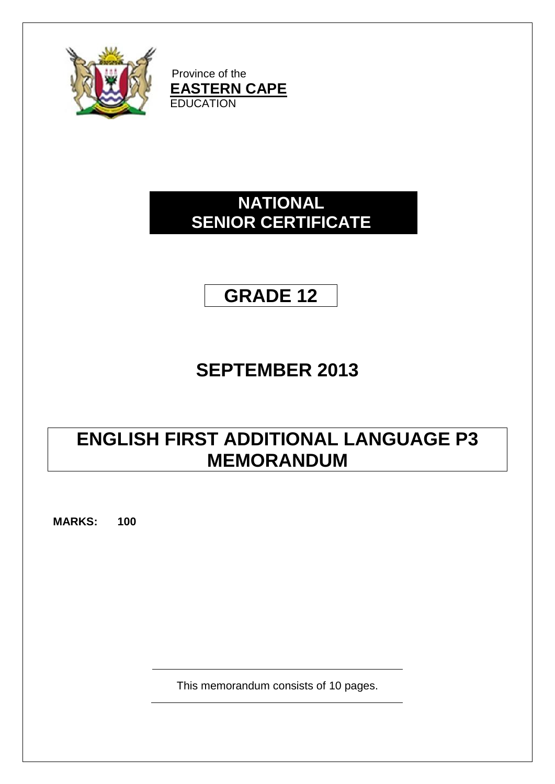

Province of the **EASTERN CAPE EDUCATION** 

# **NATIONAL SENIOR CERTIFICATE**



# **SEPTEMBER 2013**

# **ENGLISH FIRST ADDITIONAL LANGUAGE P3 MEMORANDUM**

**MARKS: 100**

This memorandum consists of 10 pages.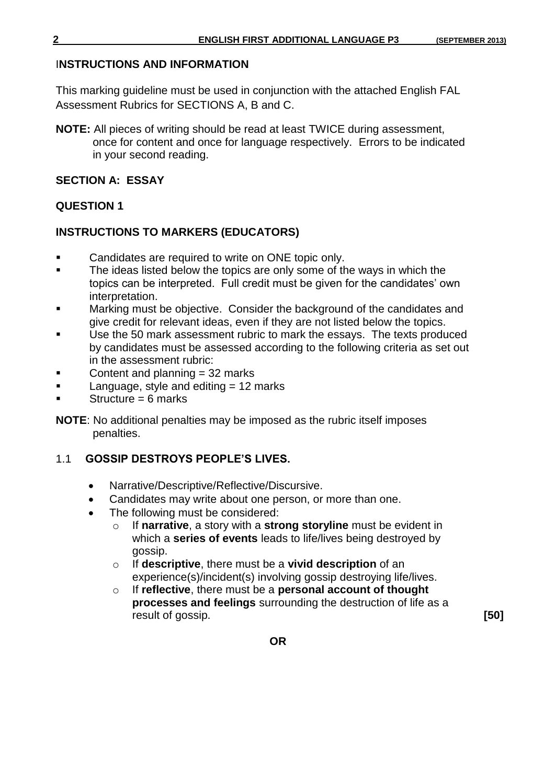#### I**NSTRUCTIONS AND INFORMATION**

This marking guideline must be used in conjunction with the attached English FAL Assessment Rubrics for SECTIONS A, B and C.

**NOTE:** All pieces of writing should be read at least TWICE during assessment, once for content and once for language respectively. Errors to be indicated in your second reading.

#### **SECTION A: ESSAY**

### **QUESTION 1**

### **INSTRUCTIONS TO MARKERS (EDUCATORS)**

- **EXECO** Candidates are required to write on ONE topic only.
- The ideas listed below the topics are only some of the ways in which the topics can be interpreted. Full credit must be given for the candidates' own interpretation.
- Marking must be objective. Consider the background of the candidates and give credit for relevant ideas, even if they are not listed below the topics.
- Use the 50 mark assessment rubric to mark the essays. The texts produced by candidates must be assessed according to the following criteria as set out in the assessment rubric:
- Content and planning = 32 marks
- Language, style and editing  $= 12$  marks
- Structure = 6 marks

**NOTE**: No additional penalties may be imposed as the rubric itself imposes penalties.

## 1.1 **GOSSIP DESTROYS PEOPLE'S LIVES.**

- Narrative/Descriptive/Reflective/Discursive.
- Candidates may write about one person, or more than one.
- The following must be considered:
	- o If **narrative**, a story with a **strong storyline** must be evident in which a **series of events** leads to life/lives being destroyed by gossip.
	- o If **descriptive**, there must be a **vivid description** of an experience(s)/incident(s) involving gossip destroying life/lives.
	- o If **reflective**, there must be a **personal account of thought processes and feelings** surrounding the destruction of life as a result of gossip. **[50]**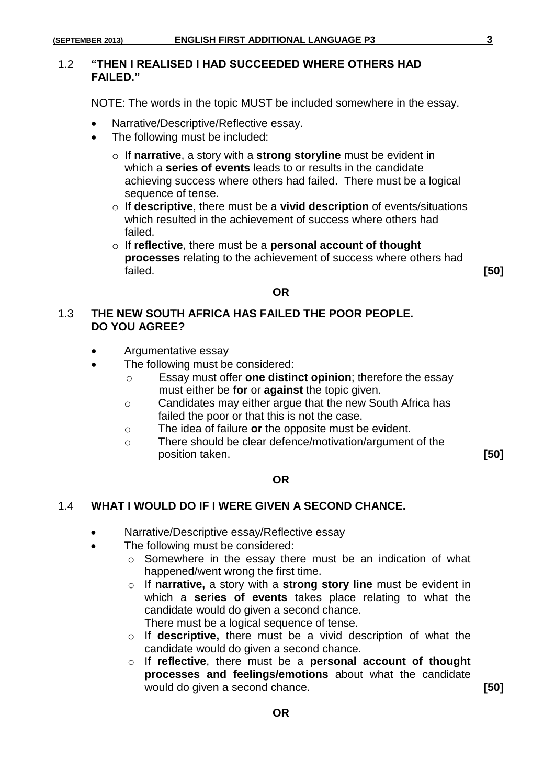NOTE: The words in the topic MUST be included somewhere in the essay.

- Narrative/Descriptive/Reflective essay.
- The following must be included:
	- o If **narrative**, a story with a **strong storyline** must be evident in which a **series of events** leads to or results in the candidate achieving success where others had failed. There must be a logical sequence of tense.
	- o If **descriptive**, there must be a **vivid description** of events/situations which resulted in the achievement of success where others had failed.
	- o If **reflective**, there must be a **personal account of thought processes** relating to the achievement of success where others had failed. **[50]**

#### **OR**

#### 1.3 **THE NEW SOUTH AFRICA HAS FAILED THE POOR PEOPLE. DO YOU AGREE?**

- Argumentative essay
- The following must be considered:
	- o Essay must offer **one distinct opinion**; therefore the essay must either be **for** or **against** the topic given.
	- o Candidates may either argue that the new South Africa has failed the poor or that this is not the case.
	- o The idea of failure **or** the opposite must be evident.
	- o There should be clear defence/motivation/argument of the position taken. **[50]**

#### **OR**

#### 1.4 **WHAT I WOULD DO IF I WERE GIVEN A SECOND CHANCE.**

- Narrative/Descriptive essay/Reflective essay
	- The following must be considered:
		- o Somewhere in the essay there must be an indication of what happened/went wrong the first time.
		- o If **narrative,** a story with a **strong story line** must be evident in which a **series of events** takes place relating to what the candidate would do given a second chance. There must be a logical sequence of tense.
		- o If **descriptive,** there must be a vivid description of what the candidate would do given a second chance.
		- o If **reflective**, there must be a **personal account of thought processes and feelings/emotions** about what the candidate would do given a second chance. **[50]**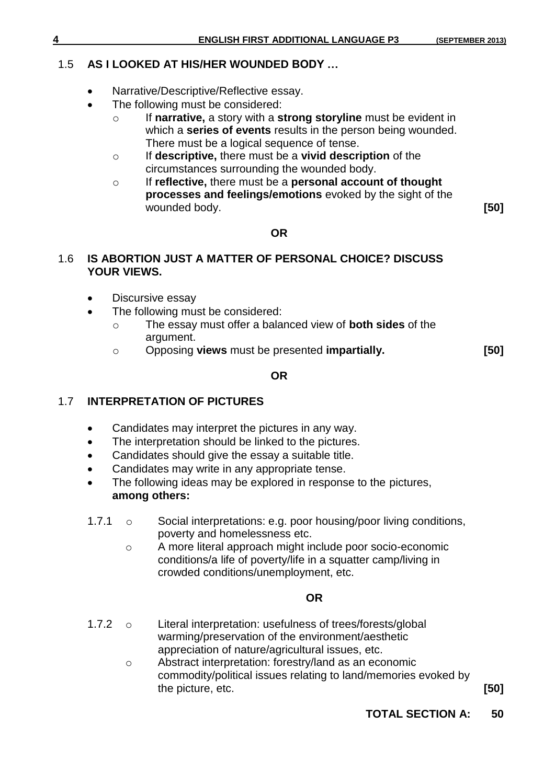## 1.5 **AS I LOOKED AT HIS/HER WOUNDED BODY …**

- Narrative/Descriptive/Reflective essay.
- The following must be considered:
	- o If **narrative,** a story with a **strong storyline** must be evident in which a **series of events** results in the person being wounded. There must be a logical sequence of tense.
	- o If **descriptive,** there must be a **vivid description** of the circumstances surrounding the wounded body.
	- o If **reflective,** there must be a **personal account of thought processes and feelings/emotions** evoked by the sight of the wounded body. **[50]**

### **OR**

#### 1.6 **IS ABORTION JUST A MATTER OF PERSONAL CHOICE? DISCUSS YOUR VIEWS.**

- Discursive essay
- The following must be considered:
	- o The essay must offer a balanced view of **both sides** of the argument.
	- o Opposing **views** must be presented **impartially. [50]**

### **OR**

# 1.7 **INTERPRETATION OF PICTURES**

- Candidates may interpret the pictures in any way.
- The interpretation should be linked to the pictures.
- Candidates should give the essay a suitable title.
- Candidates may write in any appropriate tense.
- The following ideas may be explored in response to the pictures, **among others:**
- 1.7.1 o Social interpretations: e.g. poor housing/poor living conditions, poverty and homelessness etc.
	- o A more literal approach might include poor socio-economic conditions/a life of poverty/life in a squatter camp/living in crowded conditions/unemployment, etc.

## **OR**

- 1.7.2 o Literal interpretation: usefulness of trees/forests/global warming/preservation of the environment/aesthetic appreciation of nature/agricultural issues, etc.
	- o Abstract interpretation: forestry/land as an economic commodity/political issues relating to land/memories evoked by the picture, etc. **[50]**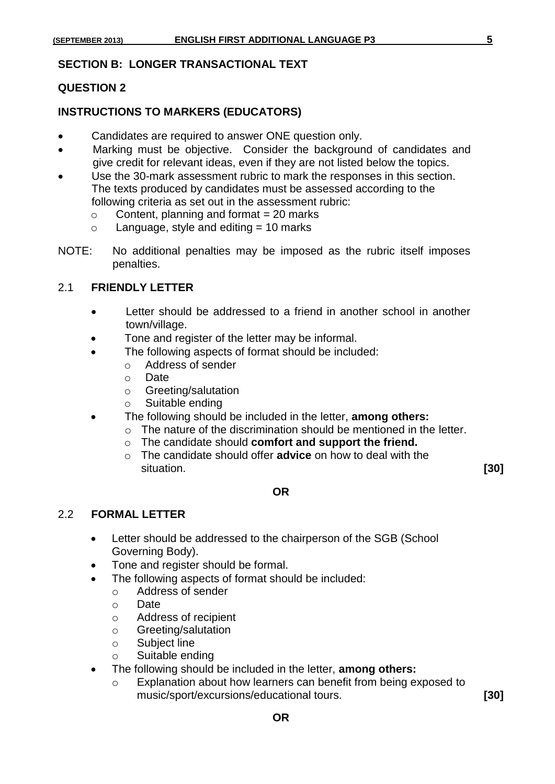#### **SECTION B: LONGER TRANSACTIONAL TEXT**

#### **QUESTION 2**

#### **INSTRUCTIONS TO MARKERS (EDUCATORS)**

- Candidates are required to answer ONE question only.
- Marking must be objective. Consider the background of candidates and give credit for relevant ideas, even if they are not listed below the topics.
- Use the 30-mark assessment rubric to mark the responses in this section. The texts produced by candidates must be assessed according to the following criteria as set out in the assessment rubric:
	- $\circ$  Content, planning and format = 20 marks
	- $\circ$  Language, style and editing = 10 marks
- NOTE: No additional penalties may be imposed as the rubric itself imposes penalties.

#### 2.1 **FRIENDLY LETTER**

- Letter should be addressed to a friend in another school in another town/village.
- Tone and register of the letter may be informal.
- The following aspects of format should be included:
	- o Address of sender
	- o Date
	- o Greeting/salutation
	- o Suitable ending
- The following should be included in the letter, **among others:**
	- o The nature of the discrimination should be mentioned in the letter.
	- o The candidate should **comfort and support the friend.**
	- o The candidate should offer **advice** on how to deal with the situation. **[30]**

#### **OR**

#### 2.2 **FORMAL LETTER**

- Letter should be addressed to the chairperson of the SGB (School Governing Body).
- Tone and register should be formal.
- The following aspects of format should be included:
	- o Address of sender
	- o Date
	- o Address of recipient
	- o Greeting/salutation
	- o Subject line
	- o Suitable ending
- The following should be included in the letter, **among others:**
	- o Explanation about how learners can benefit from being exposed to music/sport/excursions/educational tours. **[30]**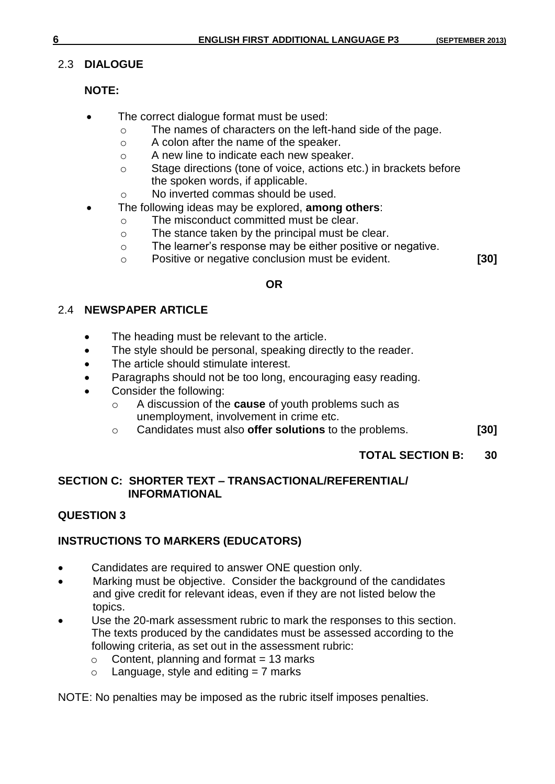# 2.3 **DIALOGUE**

# **NOTE:**

- The correct dialogue format must be used:
	- o The names of characters on the left-hand side of the page.
	- o A colon after the name of the speaker.
	- o A new line to indicate each new speaker.
	- o Stage directions (tone of voice, actions etc.) in brackets before the spoken words, if applicable.
	- o No inverted commas should be used.
- The following ideas may be explored, **among others**:
	- o The misconduct committed must be clear.
	- o The stance taken by the principal must be clear.
	- o The learner's response may be either positive or negative.
	- o Positive or negative conclusion must be evident. **[30]**

# **OR**

# 2.4 **NEWSPAPER ARTICLE**

- The heading must be relevant to the article.
- The style should be personal, speaking directly to the reader.
- The article should stimulate interest.
- Paragraphs should not be too long, encouraging easy reading.
- Consider the following:
	- o A discussion of the **cause** of youth problems such as unemployment, involvement in crime etc.
	- o Candidates must also **offer solutions** to the problems. **[30]**

# **TOTAL SECTION B: 30**

# **SECTION C: SHORTER TEXT – TRANSACTIONAL/REFERENTIAL/ INFORMATIONAL**

# **QUESTION 3**

# **INSTRUCTIONS TO MARKERS (EDUCATORS)**

- Candidates are required to answer ONE question only.
- Marking must be objective. Consider the background of the candidates and give credit for relevant ideas, even if they are not listed below the topics.
- Use the 20-mark assessment rubric to mark the responses to this section. The texts produced by the candidates must be assessed according to the following criteria, as set out in the assessment rubric:
	- $\circ$  Content, planning and format = 13 marks
	- $\circ$  Language, style and editing = 7 marks

NOTE: No penalties may be imposed as the rubric itself imposes penalties.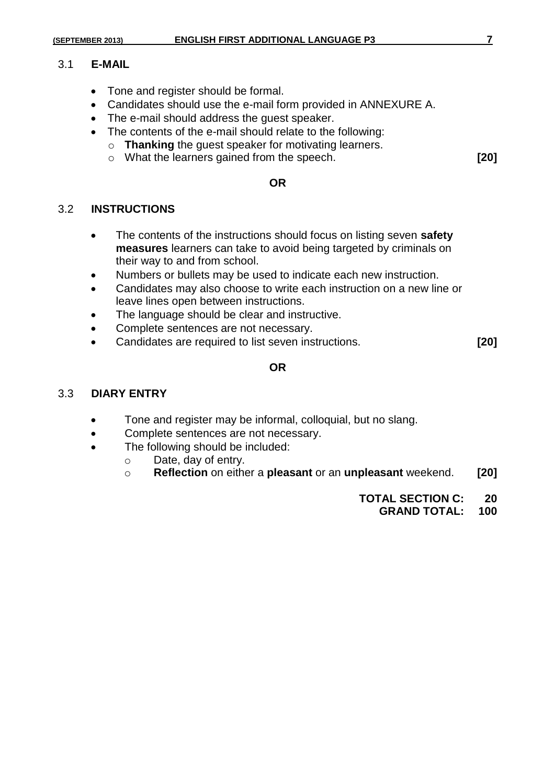#### 3.1 **E-MAIL**

- Tone and register should be formal.
- Candidates should use the e-mail form provided in ANNEXURE A.
- The e-mail should address the quest speaker.
- The contents of the e-mail should relate to the following:
	- o **Thanking** the guest speaker for motivating learners.
	- o What the learners gained from the speech. **[20]**

# **OR**

#### 3.2 **INSTRUCTIONS**

- The contents of the instructions should focus on listing seven **safety measures** learners can take to avoid being targeted by criminals on their way to and from school.
- Numbers or bullets may be used to indicate each new instruction.
- Candidates may also choose to write each instruction on a new line or leave lines open between instructions.
- The language should be clear and instructive.
- Complete sentences are not necessary.
- Candidates are required to list seven instructions. **[20]**

#### **OR**

#### 3.3 **DIARY ENTRY**

- Tone and register may be informal, colloquial, but no slang.
- Complete sentences are not necessary.
- The following should be included:
	- o Date, day of entry.
	- o **Reflection** on either a **pleasant** or an **unpleasant** weekend. **[20]**
		- **TOTAL SECTION C: 20**
			- **GRAND TOTAL: 100**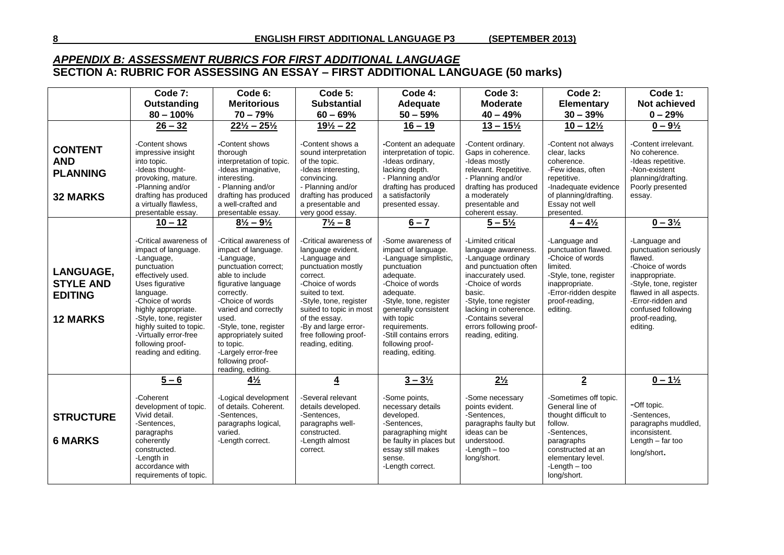#### *APPENDIX B: ASSESSMENT RUBRICS FOR FIRST ADDITIONAL LANGUAGE* **SECTION A: RUBRIC FOR ASSESSING AN ESSAY – FIRST ADDITIONAL LANGUAGE (50 marks)**

|                                                                           | Code 7:                                                                                                                                                                                                                                                                                              | Code 6:                                                                                                                                                                                                                                                                                                                         | Code 5:                                                                                                                                                                                                                                                                           | Code 4:                                                                                                                                                                                                                                                                             | Code 3:                                                                                                                                                                                                                                                            | Code 2:                                                                                                                                                                                 | Code 1:                                                                                                                                                                                                              |
|---------------------------------------------------------------------------|------------------------------------------------------------------------------------------------------------------------------------------------------------------------------------------------------------------------------------------------------------------------------------------------------|---------------------------------------------------------------------------------------------------------------------------------------------------------------------------------------------------------------------------------------------------------------------------------------------------------------------------------|-----------------------------------------------------------------------------------------------------------------------------------------------------------------------------------------------------------------------------------------------------------------------------------|-------------------------------------------------------------------------------------------------------------------------------------------------------------------------------------------------------------------------------------------------------------------------------------|--------------------------------------------------------------------------------------------------------------------------------------------------------------------------------------------------------------------------------------------------------------------|-----------------------------------------------------------------------------------------------------------------------------------------------------------------------------------------|----------------------------------------------------------------------------------------------------------------------------------------------------------------------------------------------------------------------|
|                                                                           | Outstanding                                                                                                                                                                                                                                                                                          | <b>Meritorious</b>                                                                                                                                                                                                                                                                                                              | <b>Substantial</b>                                                                                                                                                                                                                                                                | Adequate                                                                                                                                                                                                                                                                            | <b>Moderate</b>                                                                                                                                                                                                                                                    | <b>Elementary</b>                                                                                                                                                                       | <b>Not achieved</b>                                                                                                                                                                                                  |
|                                                                           | $80 - 100\%$                                                                                                                                                                                                                                                                                         | $70 - 79%$                                                                                                                                                                                                                                                                                                                      | $60 - 69%$                                                                                                                                                                                                                                                                        | $50 - 59%$                                                                                                                                                                                                                                                                          | $40 - 49%$                                                                                                                                                                                                                                                         | $30 - 39%$                                                                                                                                                                              | $0 - 29%$                                                                                                                                                                                                            |
|                                                                           | $26 - 32$                                                                                                                                                                                                                                                                                            | $22\frac{1}{2} - 25\frac{1}{2}$                                                                                                                                                                                                                                                                                                 | $19\frac{1}{2} - 22$                                                                                                                                                                                                                                                              | $16 - 19$                                                                                                                                                                                                                                                                           | $13 - 15\frac{1}{2}$                                                                                                                                                                                                                                               | $10 - 12\frac{1}{2}$                                                                                                                                                                    | $0 - 9\frac{1}{2}$                                                                                                                                                                                                   |
| <b>CONTENT</b><br><b>AND</b><br><b>PLANNING</b><br><b>32 MARKS</b>        | -Content shows<br>impressive insight<br>into topic.<br>-Ideas thought-<br>provoking, mature.<br>-Planning and/or<br>drafting has produced<br>a virtually flawless,<br>presentable essay.                                                                                                             | -Content shows<br>thorough<br>interpretation of topic.<br>-Ideas imaginative,<br>interesting.<br>- Planning and/or<br>drafting has produced<br>a well-crafted and<br>presentable essay.                                                                                                                                         | -Content shows a<br>sound interpretation<br>of the topic.<br>-Ideas interesting,<br>convincing.<br>- Planning and/or<br>drafting has produced<br>a presentable and<br>very good essay.                                                                                            | -Content an adequate<br>interpretation of topic.<br>-Ideas ordinary,<br>lacking depth.<br>- Planning and/or<br>drafting has produced<br>a satisfactorily<br>presented essay.                                                                                                        | -Content ordinary.<br>Gaps in coherence.<br>-Ideas mostly<br>relevant. Repetitive.<br>- Planning and/or<br>drafting has produced<br>a moderately<br>presentable and<br>coherent essay.                                                                             | -Content not always<br>clear, lacks<br>coherence.<br>-Few ideas, often<br>repetitive.<br>-Inadequate evidence<br>of planning/drafting.<br>Essay not well<br>presented.                  | -Content irrelevant.<br>No coherence.<br>-Ideas repetitive.<br>-Non-existent<br>planning/drafting.<br>Poorly presented<br>essay.                                                                                     |
|                                                                           | $10 - 12$                                                                                                                                                                                                                                                                                            | $8\frac{1}{2} - 9\frac{1}{2}$                                                                                                                                                                                                                                                                                                   | $7\frac{1}{2} - 8$                                                                                                                                                                                                                                                                | $6 - 7$                                                                                                                                                                                                                                                                             | $5 - 5\frac{1}{2}$                                                                                                                                                                                                                                                 | $4 - 4\frac{1}{2}$                                                                                                                                                                      | $0 - 3\frac{1}{2}$                                                                                                                                                                                                   |
| <b>LANGUAGE,</b><br><b>STYLE AND</b><br><b>EDITING</b><br><b>12 MARKS</b> | -Critical awareness of<br>impact of language.<br>-Language,<br>punctuation<br>effectively used.<br>Uses figurative<br>language.<br>-Choice of words<br>highly appropriate.<br>-Style, tone, register<br>highly suited to topic.<br>-Virtually error-free<br>following proof-<br>reading and editing. | -Critical awareness of<br>impact of language.<br>-Language,<br>punctuation correct;<br>able to include<br>figurative language<br>correctly.<br>-Choice of words<br>varied and correctly<br>used.<br>-Style, tone, register<br>appropriately suited<br>to topic.<br>-Largely error-free<br>following proof-<br>reading, editing. | -Critical awareness of<br>language evident.<br>-Language and<br>punctuation mostly<br>correct.<br>-Choice of words<br>suited to text.<br>-Style, tone, register<br>suited to topic in most<br>of the essay.<br>-By and large error-<br>free following proof-<br>reading, editing. | -Some awareness of<br>impact of language.<br>-Language simplistic,<br>punctuation<br>adequate.<br>-Choice of words<br>adequate.<br>-Style, tone, register<br>generally consistent<br>with topic<br>requirements.<br>-Still contains errors<br>following proof-<br>reading, editing. | -Limited critical<br>language awareness.<br>-Language ordinary<br>and punctuation often<br>inaccurately used.<br>-Choice of words<br>basic.<br>-Style, tone register<br>lacking in coherence.<br>-Contains several<br>errors following proof-<br>reading, editing. | -Language and<br>punctuation flawed.<br>-Choice of words<br>limited.<br>-Style, tone, register<br>inappropriate.<br>-Error-ridden despite<br>proof-reading,<br>editing.                 | -Language and<br>punctuation seriously<br>flawed.<br>-Choice of words<br>inappropriate.<br>-Style, tone, register<br>flawed in all aspects.<br>-Error-ridden and<br>confused following<br>proof-reading,<br>editing. |
|                                                                           | $5 - 6$                                                                                                                                                                                                                                                                                              | $4\frac{1}{2}$                                                                                                                                                                                                                                                                                                                  | $\overline{4}$                                                                                                                                                                                                                                                                    | $3 - 3\frac{1}{2}$                                                                                                                                                                                                                                                                  | $2\frac{1}{2}$                                                                                                                                                                                                                                                     | $\overline{2}$                                                                                                                                                                          | $0 - 1\frac{1}{2}$                                                                                                                                                                                                   |
| <b>STRUCTURE</b><br><b>6 MARKS</b>                                        | -Coherent<br>development of topic.<br>Vivid detail.<br>-Sentences,<br>paragraphs<br>coherently<br>constructed.<br>-Length in<br>accordance with<br>requirements of topic.                                                                                                                            | -Logical development<br>of details. Coherent.<br>-Sentences.<br>paragraphs logical,<br>varied.<br>-Length correct.                                                                                                                                                                                                              | -Several relevant<br>details developed.<br>-Sentences,<br>paragraphs well-<br>constructed.<br>-Length almost<br>correct.                                                                                                                                                          | -Some points,<br>necessary details<br>developed.<br>-Sentences,<br>paragraphing might<br>be faulty in places but<br>essay still makes<br>sense.<br>-Length correct.                                                                                                                 | -Some necessary<br>points evident.<br>-Sentences.<br>paragraphs faulty but<br>ideas can be<br>understood.<br>$-Length - too$<br>long/short.                                                                                                                        | -Sometimes off topic.<br>General line of<br>thought difficult to<br>follow.<br>-Sentences,<br>paragraphs<br>constructed at an<br>elementary level.<br>$-L$ ength $-$ too<br>long/short. | -Off topic.<br>-Sentences,<br>paragraphs muddled,<br>inconsistent.<br>Length $-$ far too<br>long/short.                                                                                                              |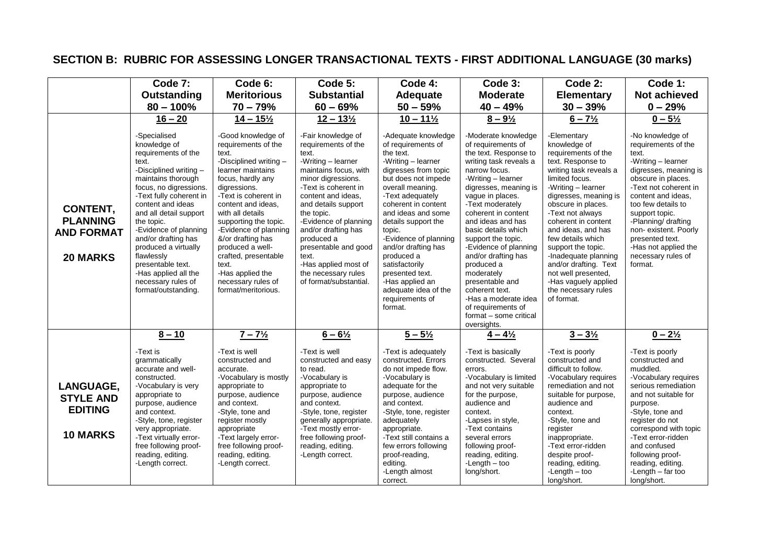# **SECTION B: RUBRIC FOR ASSESSING LONGER TRANSACTIONAL TEXTS - FIRST ADDITIONAL LANGUAGE (30 marks)**

|                                                                            | Code 7:                                                                                                                                                                                                                                                                                                                                                                                                        | Code 6:                                                                                                                                                                                                                                                                                                                                                                                               | Code 5:                                                                                                                                                                                                                                                                                                                                                                            | Code 4:                                                                                                                                                                                                                                                                                                                                                                                                                       | Code 3:                                                                                                                                                                                                                                                                                                                                                                                                                                                                                               | Code 2:                                                                                                                                                                                                                                                                                                                                                                                                                                   | Code 1:                                                                                                                                                                                                                                                                                                                                      |
|----------------------------------------------------------------------------|----------------------------------------------------------------------------------------------------------------------------------------------------------------------------------------------------------------------------------------------------------------------------------------------------------------------------------------------------------------------------------------------------------------|-------------------------------------------------------------------------------------------------------------------------------------------------------------------------------------------------------------------------------------------------------------------------------------------------------------------------------------------------------------------------------------------------------|------------------------------------------------------------------------------------------------------------------------------------------------------------------------------------------------------------------------------------------------------------------------------------------------------------------------------------------------------------------------------------|-------------------------------------------------------------------------------------------------------------------------------------------------------------------------------------------------------------------------------------------------------------------------------------------------------------------------------------------------------------------------------------------------------------------------------|-------------------------------------------------------------------------------------------------------------------------------------------------------------------------------------------------------------------------------------------------------------------------------------------------------------------------------------------------------------------------------------------------------------------------------------------------------------------------------------------------------|-------------------------------------------------------------------------------------------------------------------------------------------------------------------------------------------------------------------------------------------------------------------------------------------------------------------------------------------------------------------------------------------------------------------------------------------|----------------------------------------------------------------------------------------------------------------------------------------------------------------------------------------------------------------------------------------------------------------------------------------------------------------------------------------------|
|                                                                            | Outstanding                                                                                                                                                                                                                                                                                                                                                                                                    | <b>Meritorious</b>                                                                                                                                                                                                                                                                                                                                                                                    | <b>Substantial</b>                                                                                                                                                                                                                                                                                                                                                                 | Adequate                                                                                                                                                                                                                                                                                                                                                                                                                      | <b>Moderate</b>                                                                                                                                                                                                                                                                                                                                                                                                                                                                                       | <b>Elementary</b>                                                                                                                                                                                                                                                                                                                                                                                                                         | <b>Not achieved</b>                                                                                                                                                                                                                                                                                                                          |
|                                                                            | $80 - 100\%$                                                                                                                                                                                                                                                                                                                                                                                                   | $70 - 79%$                                                                                                                                                                                                                                                                                                                                                                                            | $60 - 69%$                                                                                                                                                                                                                                                                                                                                                                         | $50 - 59%$                                                                                                                                                                                                                                                                                                                                                                                                                    | $40 - 49%$                                                                                                                                                                                                                                                                                                                                                                                                                                                                                            | $30 - 39%$                                                                                                                                                                                                                                                                                                                                                                                                                                | $0 - 29%$                                                                                                                                                                                                                                                                                                                                    |
|                                                                            | $16 - 20$                                                                                                                                                                                                                                                                                                                                                                                                      | $14 - 15\frac{1}{2}$                                                                                                                                                                                                                                                                                                                                                                                  | $12 - 13\frac{1}{2}$                                                                                                                                                                                                                                                                                                                                                               | $10 - 11\frac{1}{2}$                                                                                                                                                                                                                                                                                                                                                                                                          | $8 - 9\frac{1}{2}$                                                                                                                                                                                                                                                                                                                                                                                                                                                                                    | $6 - 7\frac{1}{2}$                                                                                                                                                                                                                                                                                                                                                                                                                        | $0 - 5\frac{1}{2}$                                                                                                                                                                                                                                                                                                                           |
| <b>CONTENT,</b><br><b>PLANNING</b><br><b>AND FORMAT</b><br><b>20 MARKS</b> | -Specialised<br>knowledge of<br>requirements of the<br>text.<br>-Disciplined writing -<br>maintains thorough<br>focus, no digressions.<br>-Text fully coherent in<br>content and ideas<br>and all detail support<br>the topic.<br>-Evidence of planning<br>and/or drafting has<br>produced a virtually<br>flawlessly<br>presentable text.<br>-Has applied all the<br>necessary rules of<br>format/outstanding. | -Good knowledge of<br>requirements of the<br>text.<br>-Disciplined writing -<br>learner maintains<br>focus, hardly any<br>digressions.<br>-Text is coherent in<br>content and ideas.<br>with all details<br>supporting the topic.<br>-Evidence of planning<br>&/or drafting has<br>produced a well-<br>crafted, presentable<br>text.<br>-Has applied the<br>necessary rules of<br>format/meritorious. | -Fair knowledge of<br>requirements of the<br>text.<br>-Writing - learner<br>maintains focus, with<br>minor digressions.<br>-Text is coherent in<br>content and ideas.<br>and details support<br>the topic.<br>-Evidence of planning<br>and/or drafting has<br>produced a<br>presentable and good<br>text.<br>-Has applied most of<br>the necessary rules<br>of format/substantial. | -Adequate knowledge<br>of requirements of<br>the text.<br>-Writing - learner<br>digresses from topic<br>but does not impede<br>overall meaning.<br>-Text adequately<br>coherent in content<br>and ideas and some<br>details support the<br>topic.<br>-Evidence of planning<br>and/or drafting has<br>produced a<br>satisfactorily<br>presented text.<br>-Has applied an<br>adequate idea of the<br>requirements of<br>format. | -Moderate knowledge<br>of requirements of<br>the text. Response to<br>writing task reveals a<br>narrow focus.<br>-Writing – learner<br>digresses, meaning is<br>vaque in places.<br>-Text moderately<br>coherent in content<br>and ideas and has<br>basic details which<br>support the topic.<br>-Evidence of planning<br>and/or drafting has<br>produced a<br>moderately<br>presentable and<br>coherent text.<br>-Has a moderate idea<br>of requirements of<br>format - some critical<br>oversights. | -Elementary<br>knowledge of<br>requirements of the<br>text. Response to<br>writing task reveals a<br>limited focus.<br>-Writing - learner<br>digresses, meaning is<br>obscure in places.<br>-Text not always<br>coherent in content<br>and ideas, and has<br>few details which<br>support the topic.<br>-Inadequate planning<br>and/or drafting. Text<br>not well presented,<br>-Has vaguely applied<br>the necessary rules<br>of format. | -No knowledge of<br>requirements of the<br>text.<br>-Writing - learner<br>digresses, meaning is<br>obscure in places.<br>-Text not coherent in<br>content and ideas.<br>too few details to<br>support topic.<br>-Planning/ drafting<br>non-existent. Poorly<br>presented text.<br>-Has not applied the<br>necessary rules of<br>format.      |
| <b>LANGUAGE.</b><br><b>STYLE AND</b><br><b>EDITING</b><br><b>10 MARKS</b>  | $8 - 10$<br>-Text is<br>grammatically<br>accurate and well-<br>constructed.<br>-Vocabulary is very<br>appropriate to<br>purpose, audience<br>and context.<br>-Style, tone, register<br>very appropriate.<br>-Text virtually error-<br>free following proof-<br>reading, editing.<br>-Length correct.                                                                                                           | $7 - 7\frac{1}{2}$<br>-Text is well<br>constructed and<br>accurate.<br>-Vocabulary is mostly<br>appropriate to<br>purpose, audience<br>and context.<br>-Style, tone and<br>register mostly<br>appropriate<br>-Text largely error-<br>free following proof-<br>reading, editing.<br>-Length correct.                                                                                                   | $6 - 6\frac{1}{2}$<br>-Text is well<br>constructed and easy<br>to read.<br>-Vocabulary is<br>appropriate to<br>purpose, audience<br>and context.<br>-Style, tone, register<br>generally appropriate.<br>-Text mostly error-<br>free following proof-<br>reading, editing.<br>-Length correct.                                                                                      | $5 - 5\frac{1}{2}$<br>-Text is adequately<br>constructed. Errors<br>do not impede flow.<br>-Vocabulary is<br>adequate for the<br>purpose, audience<br>and context.<br>-Style, tone, register<br>adequately<br>appropriate.<br>-Text still contains a<br>few errors following<br>proof-reading,<br>editing.<br>-Length almost<br>correct.                                                                                      | $4 - 4\frac{1}{2}$<br>-Text is basically<br>constructed. Several<br>errors.<br>-Vocabulary is limited<br>and not very suitable<br>for the purpose,<br>audience and<br>context.<br>-Lapses in style,<br>-Text contains<br>several errors<br>following proof-<br>reading, editing.<br>$-L$ ength $-$ too<br>long/short.                                                                                                                                                                                 | $3 - 3\frac{1}{2}$<br>-Text is poorly<br>constructed and<br>difficult to follow.<br>-Vocabulary requires<br>remediation and not<br>suitable for purpose,<br>audience and<br>context.<br>-Style, tone and<br>register<br>inappropriate.<br>-Text error-ridden<br>despite proof-<br>reading, editing.<br>$-L$ ength $-$ too<br>long/short.                                                                                                  | $0 - 2\frac{1}{2}$<br>-Text is poorly<br>constructed and<br>muddled.<br>-Vocabulary requires<br>serious remediation<br>and not suitable for<br>purpose.<br>-Style, tone and<br>register do not<br>correspond with topic<br>-Text error-ridden<br>and confused<br>following proof-<br>reading, editing.<br>-Length $-$ far too<br>long/short. |